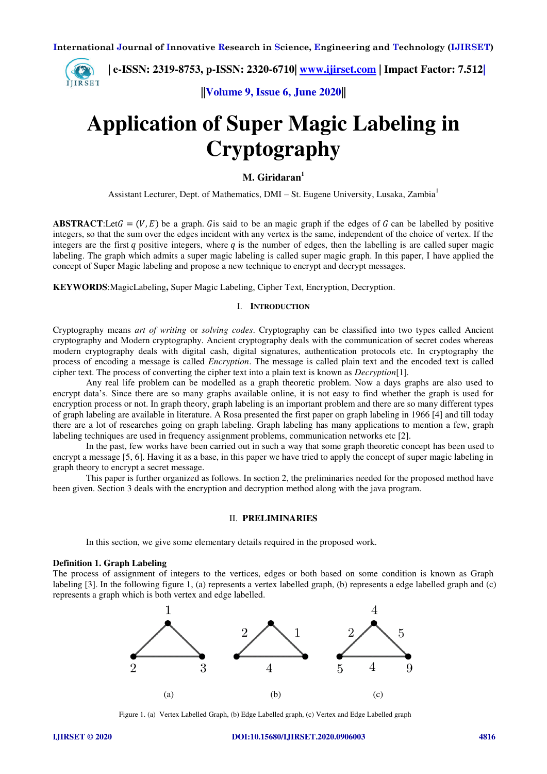

**||Volume 9, Issue 6, June 2020||** 

# **Application of Super Magic Labeling in Cryptography**

### **M. Giridaran<sup>1</sup>**

Assistant Lecturer, Dept. of Mathematics, DMI – St. Eugene University, Lusaka, Zambia<sup>1</sup>

**ABSTRACT**:Let  $G = (V, E)$  be a graph. Gis said to be an magic graph if the edges of G can be labelled by positive integers, so that the sum over the edges incident with any vertex is the same, independent of the choice of vertex. If the integers are the first  $q$  positive integers, where  $q$  is the number of edges, then the labelling is are called super magic labeling. The graph which admits a super magic labeling is called super magic graph. In this paper, I have applied the concept of Super Magic labeling and propose a new technique to encrypt and decrypt messages.

**KEYWORDS**:MagicLabeling**,** Super Magic Labeling, Cipher Text, Encryption, Decryption.

### I. **INTRODUCTION**

Cryptography means *art of writing* or *solving codes*. Cryptography can be classified into two types called Ancient cryptography and Modern cryptography. Ancient cryptography deals with the communication of secret codes whereas modern cryptography deals with digital cash, digital signatures, authentication protocols etc. In cryptography the process of encoding a message is called *Encryption*. The message is called plain text and the encoded text is called cipher text. The process of converting the cipher text into a plain text is known as *Decryption*[1]*.* 

 Any real life problem can be modelled as a graph theoretic problem. Now a days graphs are also used to encrypt data's. Since there are so many graphs available online, it is not easy to find whether the graph is used for encryption process or not. In graph theory, graph labeling is an important problem and there are so many different types of graph labeling are available in literature. A Rosa presented the first paper on graph labeling in 1966 [4] and till today there are a lot of researches going on graph labeling. Graph labeling has many applications to mention a few, graph labeling techniques are used in frequency assignment problems, communication networks etc [2].

 In the past, few works have been carried out in such a way that some graph theoretic concept has been used to encrypt a message [5, 6]. Having it as a base, in this paper we have tried to apply the concept of super magic labeling in graph theory to encrypt a secret message.

 This paper is further organized as follows. In section 2, the preliminaries needed for the proposed method have been given. Section 3 deals with the encryption and decryption method along with the java program.

### II. **PRELIMINARIES**

In this section, we give some elementary details required in the proposed work.

### **Definition 1. Graph Labeling**

The process of assignment of integers to the vertices, edges or both based on some condition is known as Graph labeling [3]. In the following figure 1, (a) represents a vertex labelled graph, (b) represents a edge labelled graph and (c) represents a graph which is both vertex and edge labelled.



Figure 1. (a) Vertex Labelled Graph, (b) Edge Labelled graph, (c) Vertex and Edge Labelled graph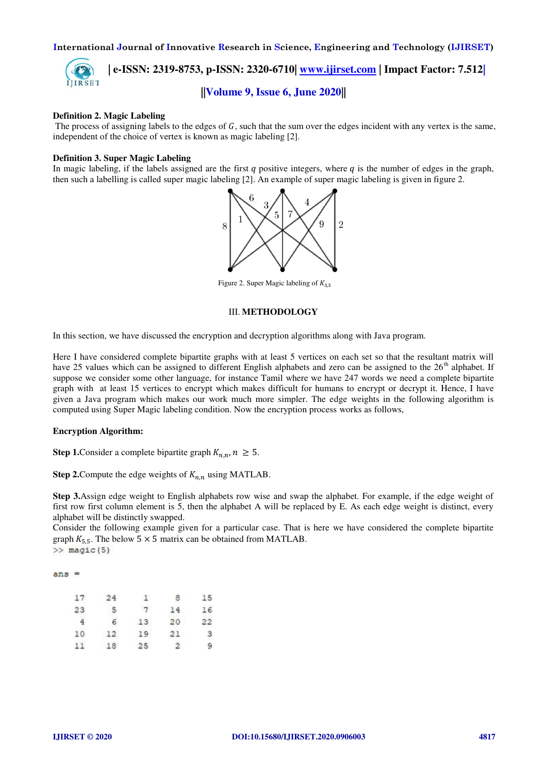

 **| e-ISSN: 2319-8753, p-ISSN: 2320-6710| [www.ijirset.com](http://www.ijirset.com/) | Impact Factor: 7.512|**

## **||Volume 9, Issue 6, June 2020||**

### **Definition 2. Magic Labeling**

The process of assigning labels to the edges of  $G$ , such that the sum over the edges incident with any vertex is the same, independent of the choice of vertex is known as magic labeling [2].

### **Definition 3. Super Magic Labeling**

In magic labeling, if the labels assigned are the first q positive integers, where q is the number of edges in the graph, then such a labelling is called super magic labeling [2]. An example of super magic labeling is given in figure 2.



Figure 2. Super Magic labeling of  $K_{3,3}$ 

### III. **METHODOLOGY**

In this section, we have discussed the encryption and decryption algorithms along with Java program.

Here I have considered complete bipartite graphs with at least 5 vertices on each set so that the resultant matrix will have 25 values which can be assigned to different English alphabets and zero can be assigned to the  $26<sup>th</sup>$  alphabet. If suppose we consider some other language, for instance Tamil where we have 247 words we need a complete bipartite graph with at least 15 vertices to encrypt which makes difficult for humans to encrypt or decrypt it. Hence, I have given a Java program which makes our work much more simpler. The edge weights in the following algorithm is computed using Super Magic labeling condition. Now the encryption process works as follows,

### **Encryption Algorithm:**

**Step 1.** Consider a complete bipartite graph  $K_{n,n}$ ,  $n \geq 5$ .

**Step 2.** Compute the edge weights of  $K_{n,n}$  using MATLAB.

**Step 3.**Assign edge weight to English alphabets row wise and swap the alphabet. For example, if the edge weight of first row first column element is 5, then the alphabet A will be replaced by E. As each edge weight is distinct, every alphabet will be distinctly swapped.

Consider the following example given for a particular case. That is here we have considered the complete bipartite graph  $K_{5,5}$ . The below 5 × 5 matrix can be obtained from MATLAB.<br>>> magic (5)

 $ans =$ 

| 17             | 24              | ъ.              | я            | 15 |
|----------------|-----------------|-----------------|--------------|----|
| 23             | -5.             | $7^{\circ}$     | 14           | 16 |
| $\overline{4}$ | 6.              | 13 <sup>°</sup> | 20           | 22 |
| 10             | 12 <sup>°</sup> | 19              | 21           | з  |
| 11             | 18              | 25 <sub>1</sub> | $\mathbf{2}$ | 9  |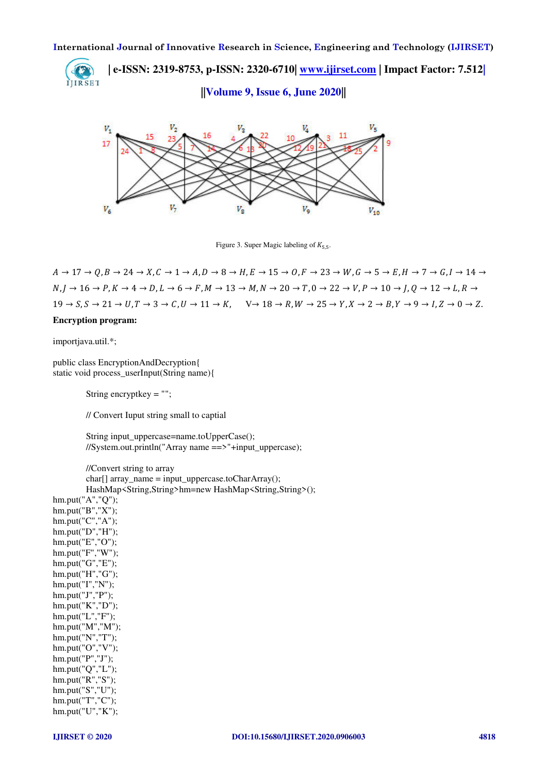**| e-ISSN: 2319-8753, p-ISSN: 2320-6710| [www.ijirset.com](http://www.ijirset.com/) | Impact Factor: 7.512|** IJIRSET

**||Volume 9, Issue 6, June 2020||** 



Figure 3. Super Magic labeling of  $K_{5,5}$ .

 $A \rightarrow 17 \rightarrow O, B \rightarrow 24 \rightarrow X, C \rightarrow 1 \rightarrow A, D \rightarrow 8 \rightarrow H, E \rightarrow 15 \rightarrow O, F \rightarrow 23 \rightarrow W, G \rightarrow 5 \rightarrow E, H \rightarrow 7 \rightarrow G, I \rightarrow 14 \rightarrow$  $N, I \rightarrow 16 \rightarrow P, K \rightarrow 4 \rightarrow D, L \rightarrow 6 \rightarrow F, M \rightarrow 13 \rightarrow M, N \rightarrow 20 \rightarrow T, 0 \rightarrow 22 \rightarrow V, P \rightarrow 10 \rightarrow I, O \rightarrow 12 \rightarrow L, R \rightarrow$  $19 \rightarrow S, S \rightarrow 21 \rightarrow U, T \rightarrow 3 \rightarrow C, U \rightarrow 11 \rightarrow K, \quad V \rightarrow 18 \rightarrow R, W \rightarrow 25 \rightarrow Y, X \rightarrow 2 \rightarrow B, Y \rightarrow 9 \rightarrow I, Z \rightarrow 0 \rightarrow Z.$ **Encryption program:** 

importjava.util.\*;

public class EncryptionAndDecryption{ static void process\_userInput(String name){

String encryptkey = "";

// Convert Iuput string small to captial

 String input\_uppercase=name.toUpperCase(); //System.out.println("Array name ==>"+input\_uppercase);

 //Convert string to array char[] array\_name = input\_uppercase.toCharArray(); HashMap<String,String>hm=new HashMap<String,String>();

hm.put("A","Q"); hm.put("B","X"); hm.put("C","A"); hm.put("D","H"); hm.put("E","O"); hm.put("F","W"); hm.put("G","E"); hm.put("H","G"); hm.put("I","N"); hm.put("J","P"); hm.put("K","D"); hm.put("L","F"); hm.put("M","M"); hm.put("N","T"); hm.put("O","V"); hm.put("P","J"); hm.put("Q","L"); hm.put("R","S"); hm.put("S","U");  $h$ m.put("T","C"); hm.put("U","K");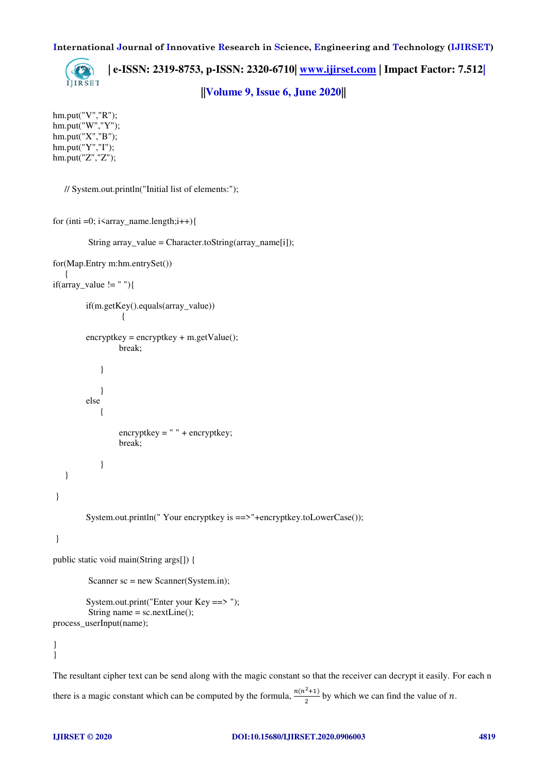

 **| e-ISSN: 2319-8753, p-ISSN: 2320-6710| [www.ijirset.com](http://www.ijirset.com/) | Impact Factor: 7.512| ||Volume 9, Issue 6, June 2020||** 

hm.put("V","R"); hm.put("W","Y"); hm.put("X","B"); hm.put("Y","I"); hm.put("Z","Z");

// System.out.println("Initial list of elements:");

```
for (inti =0; i\langle \text{array} \rangle name.length;i++){
```
String array\_value = Character.toString(array\_name[i]);

```
for(Map.Entry m:hm.entrySet()) 
    { 
if(array_value != ""){
          if(m.getKey().equals(array_value)) 
 { 
         \text{encryptkey} = \text{encryptkey} + \text{m.getValue} break; 
              } 
              } 
          else 
              { 
                    encryptkey = " " + encryptkey; 
                    break; 
              } 
    } 
 } 
          System.out.println(" Your encryptkey is ==>"+encryptkey.toLowerCase()); 
 } 
public static void main(String args[]) { 
          Scanner sc = new Scanner(System.in);
          System.out.print("Enter your Key ==> "); 
           String name = sc.nextLine(); 
process_userInput(name); 
}
```
}

The resultant cipher text can be send along with the magic constant so that the receiver can decrypt it easily. For each n there is a magic constant which can be computed by the formula,  $\frac{n(n^2+1)}{2}$  by which we can find the value of *n*.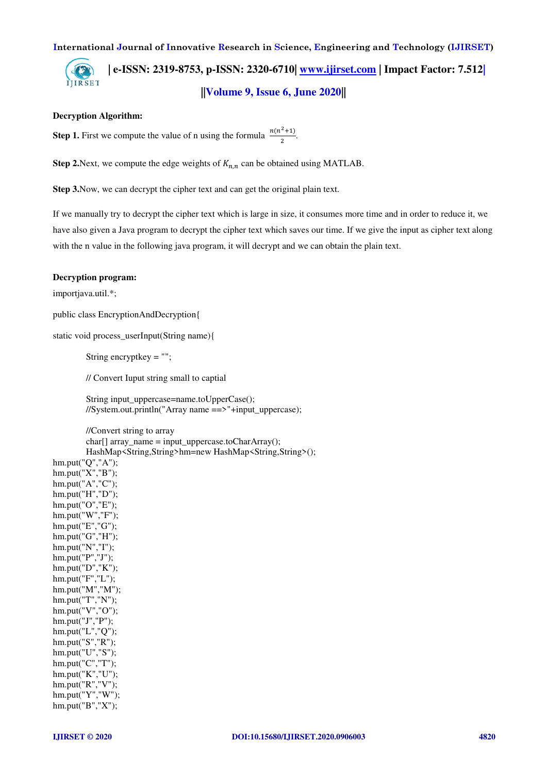**| e-ISSN: 2319-8753, p-ISSN: 2320-6710| [www.ijirset.com](http://www.ijirset.com/) | Impact Factor: 7.512|** IJIRSET **||Volume 9, Issue 6, June 2020||** 

### **Decryption Algorithm:**

**Step 1.** First we compute the value of n using the formula  $\frac{n(n^2+1)}{2}$ .

**Step 2.**Next, we compute the edge weights of  $K_{n,n}$  can be obtained using MATLAB.

**Step 3.**Now, we can decrypt the cipher text and can get the original plain text.

If we manually try to decrypt the cipher text which is large in size, it consumes more time and in order to reduce it, we have also given a Java program to decrypt the cipher text which saves our time. If we give the input as cipher text along with the n value in the following java program, it will decrypt and we can obtain the plain text.

### **Decryption program:**

importjava.util.\*;

public class EncryptionAndDecryption{

static void process\_userInput(String name){

String encryptkey = "";

// Convert Iuput string small to captial

String input uppercase=name.toUpperCase(); //System.out.println("Array name ==>"+input\_uppercase);

 //Convert string to array char[] array\_name = input\_uppercase.toCharArray(); HashMap<String,String>hm=new HashMap<String,String>();

hm.put("Q","A"); hm.put("X","B"); hm.put("A","C"); hm.put("H","D"); hm.put("O","E"); hm.put("W","F"); hm.put("E","G"); hm.put("G","H"); hm.put("N","I"); hm.put("P","J"); hm.put("D","K"); hm.put("F","L"); hm.put("M","M"); hm.put("T","N"); hm.put("V","O"); hm.put("J","P"); hm.put("L","Q"); hm.put("S","R"); hm.put("U","S"); hm.put("C","T"); hm.put("K","U"); hm.put("R","V"); hm.put("Y","W"); hm.put("B","X");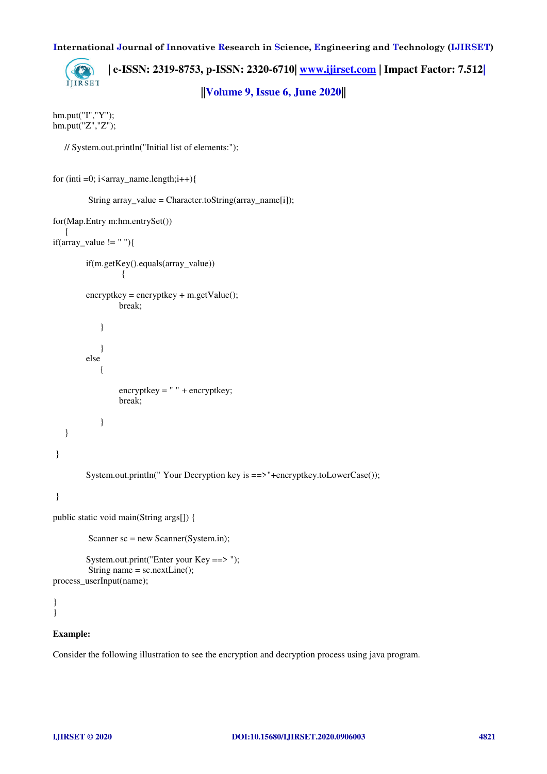**| e-ISSN: 2319-8753, p-ISSN: 2320-6710| [www.ijirset.com](http://www.ijirset.com/) | Impact Factor: 7.512|** IJIRSET **||Volume 9, Issue 6, June 2020||** 

hm.put("I","Y"); hm.put("Z","Z");

// System.out.println("Initial list of elements:");

```
for (inti =0; i<array_name.length;i++){
```

```
 String array_value = Character.toString(array_name[i]);
```

```
for(Map.Entry m:hm.entrySet()) 
    { 
if(array_value != ""){
          if(m.getKey().equals(array_value)) 
 { 
          encryptkey = encryptkey + m.getValue(); 
                   break; 
              } 
              } 
          else 
              { 
                   encryptkey = " " + encryptkey; 
                   break; 
              } 
    } 
 } 
          System.out.println(" Your Decryption key is ==>"+encryptkey.toLowerCase()); 
 }
```

```
public static void main(String args[]) {
```
Scanner sc = new Scanner(System.in);

```
 System.out.print("Enter your Key ==> "); 
         String name = sc.nextLine();
process_userInput(name);
```

```
} 
}
```
### **Example:**

Consider the following illustration to see the encryption and decryption process using java program.